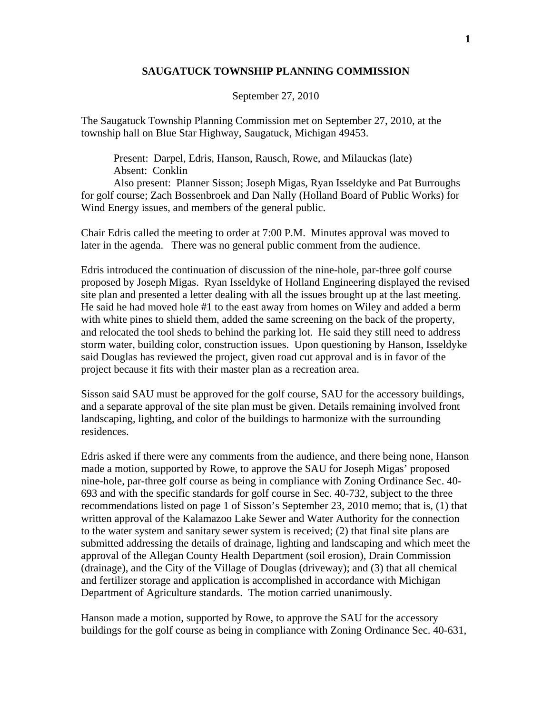## **SAUGATUCK TOWNSHIP PLANNING COMMISSION**

September 27, 2010

The Saugatuck Township Planning Commission met on September 27, 2010, at the township hall on Blue Star Highway, Saugatuck, Michigan 49453.

 Present: Darpel, Edris, Hanson, Rausch, Rowe, and Milauckas (late) Absent: Conklin

 Also present: Planner Sisson; Joseph Migas, Ryan Isseldyke and Pat Burroughs for golf course; Zach Bossenbroek and Dan Nally (Holland Board of Public Works) for Wind Energy issues, and members of the general public.

Chair Edris called the meeting to order at 7:00 P.M. Minutes approval was moved to later in the agenda. There was no general public comment from the audience.

Edris introduced the continuation of discussion of the nine-hole, par-three golf course proposed by Joseph Migas. Ryan Isseldyke of Holland Engineering displayed the revised site plan and presented a letter dealing with all the issues brought up at the last meeting. He said he had moved hole #1 to the east away from homes on Wiley and added a berm with white pines to shield them, added the same screening on the back of the property, and relocated the tool sheds to behind the parking lot. He said they still need to address storm water, building color, construction issues. Upon questioning by Hanson, Isseldyke said Douglas has reviewed the project, given road cut approval and is in favor of the project because it fits with their master plan as a recreation area.

Sisson said SAU must be approved for the golf course, SAU for the accessory buildings, and a separate approval of the site plan must be given. Details remaining involved front landscaping, lighting, and color of the buildings to harmonize with the surrounding residences.

Edris asked if there were any comments from the audience, and there being none, Hanson made a motion, supported by Rowe, to approve the SAU for Joseph Migas' proposed nine-hole, par-three golf course as being in compliance with Zoning Ordinance Sec. 40- 693 and with the specific standards for golf course in Sec. 40-732, subject to the three recommendations listed on page 1 of Sisson's September 23, 2010 memo; that is, (1) that written approval of the Kalamazoo Lake Sewer and Water Authority for the connection to the water system and sanitary sewer system is received; (2) that final site plans are submitted addressing the details of drainage, lighting and landscaping and which meet the approval of the Allegan County Health Department (soil erosion), Drain Commission (drainage), and the City of the Village of Douglas (driveway); and (3) that all chemical and fertilizer storage and application is accomplished in accordance with Michigan Department of Agriculture standards. The motion carried unanimously.

Hanson made a motion, supported by Rowe, to approve the SAU for the accessory buildings for the golf course as being in compliance with Zoning Ordinance Sec. 40-631,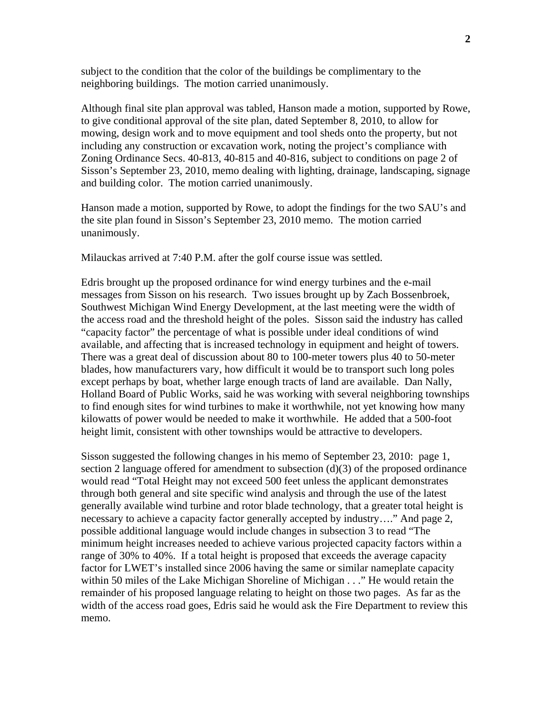subject to the condition that the color of the buildings be complimentary to the neighboring buildings. The motion carried unanimously.

Although final site plan approval was tabled, Hanson made a motion, supported by Rowe, to give conditional approval of the site plan, dated September 8, 2010, to allow for mowing, design work and to move equipment and tool sheds onto the property, but not including any construction or excavation work, noting the project's compliance with Zoning Ordinance Secs. 40-813, 40-815 and 40-816, subject to conditions on page 2 of Sisson's September 23, 2010, memo dealing with lighting, drainage, landscaping, signage and building color. The motion carried unanimously.

Hanson made a motion, supported by Rowe, to adopt the findings for the two SAU's and the site plan found in Sisson's September 23, 2010 memo. The motion carried unanimously.

Milauckas arrived at 7:40 P.M. after the golf course issue was settled.

Edris brought up the proposed ordinance for wind energy turbines and the e-mail messages from Sisson on his research. Two issues brought up by Zach Bossenbroek, Southwest Michigan Wind Energy Development, at the last meeting were the width of the access road and the threshold height of the poles. Sisson said the industry has called "capacity factor" the percentage of what is possible under ideal conditions of wind available, and affecting that is increased technology in equipment and height of towers. There was a great deal of discussion about 80 to 100-meter towers plus 40 to 50-meter blades, how manufacturers vary, how difficult it would be to transport such long poles except perhaps by boat, whether large enough tracts of land are available. Dan Nally, Holland Board of Public Works, said he was working with several neighboring townships to find enough sites for wind turbines to make it worthwhile, not yet knowing how many kilowatts of power would be needed to make it worthwhile. He added that a 500-foot height limit, consistent with other townships would be attractive to developers.

Sisson suggested the following changes in his memo of September 23, 2010: page 1, section 2 language offered for amendment to subsection (d)(3) of the proposed ordinance would read "Total Height may not exceed 500 feet unless the applicant demonstrates through both general and site specific wind analysis and through the use of the latest generally available wind turbine and rotor blade technology, that a greater total height is necessary to achieve a capacity factor generally accepted by industry…." And page 2, possible additional language would include changes in subsection 3 to read "The minimum height increases needed to achieve various projected capacity factors within a range of 30% to 40%. If a total height is proposed that exceeds the average capacity factor for LWET's installed since 2006 having the same or similar nameplate capacity within 50 miles of the Lake Michigan Shoreline of Michigan . . ." He would retain the remainder of his proposed language relating to height on those two pages. As far as the width of the access road goes, Edris said he would ask the Fire Department to review this memo.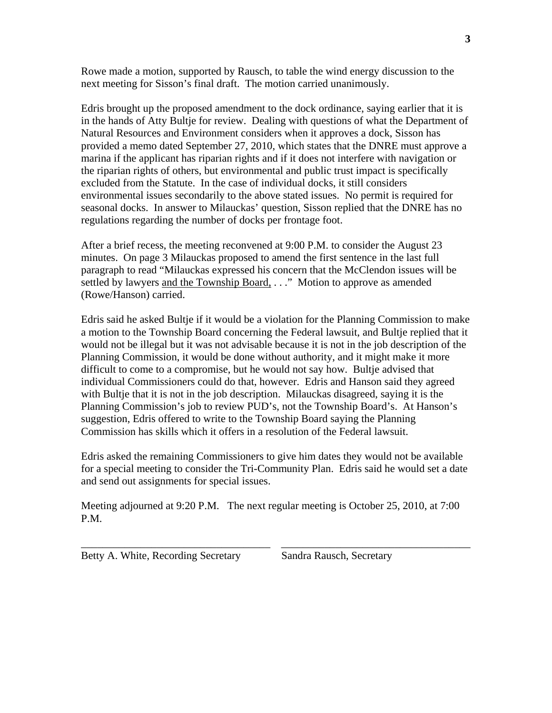Rowe made a motion, supported by Rausch, to table the wind energy discussion to the next meeting for Sisson's final draft. The motion carried unanimously.

Edris brought up the proposed amendment to the dock ordinance, saying earlier that it is in the hands of Atty Bultje for review. Dealing with questions of what the Department of Natural Resources and Environment considers when it approves a dock, Sisson has provided a memo dated September 27, 2010, which states that the DNRE must approve a marina if the applicant has riparian rights and if it does not interfere with navigation or the riparian rights of others, but environmental and public trust impact is specifically excluded from the Statute. In the case of individual docks, it still considers environmental issues secondarily to the above stated issues. No permit is required for seasonal docks. In answer to Milauckas' question, Sisson replied that the DNRE has no regulations regarding the number of docks per frontage foot.

After a brief recess, the meeting reconvened at 9:00 P.M. to consider the August 23 minutes. On page 3 Milauckas proposed to amend the first sentence in the last full paragraph to read "Milauckas expressed his concern that the McClendon issues will be settled by lawyers and the Township Board, . . ." Motion to approve as amended (Rowe/Hanson) carried.

Edris said he asked Bultje if it would be a violation for the Planning Commission to make a motion to the Township Board concerning the Federal lawsuit, and Bultje replied that it would not be illegal but it was not advisable because it is not in the job description of the Planning Commission, it would be done without authority, and it might make it more difficult to come to a compromise, but he would not say how. Bultje advised that individual Commissioners could do that, however. Edris and Hanson said they agreed with Bultje that it is not in the job description. Milauckas disagreed, saying it is the Planning Commission's job to review PUD's, not the Township Board's. At Hanson's suggestion, Edris offered to write to the Township Board saying the Planning Commission has skills which it offers in a resolution of the Federal lawsuit.

Edris asked the remaining Commissioners to give him dates they would not be available for a special meeting to consider the Tri-Community Plan. Edris said he would set a date and send out assignments for special issues.

Meeting adjourned at 9:20 P.M. The next regular meeting is October 25, 2010, at 7:00 P.M.

\_\_\_\_\_\_\_\_\_\_\_\_\_\_\_\_\_\_\_\_\_\_\_\_\_\_\_\_\_\_\_\_\_\_\_ \_\_\_\_\_\_\_\_\_\_\_\_\_\_\_\_\_\_\_\_\_\_\_\_\_\_\_\_\_\_\_\_\_\_\_

Betty A. White, Recording Secretary Sandra Rausch, Secretary